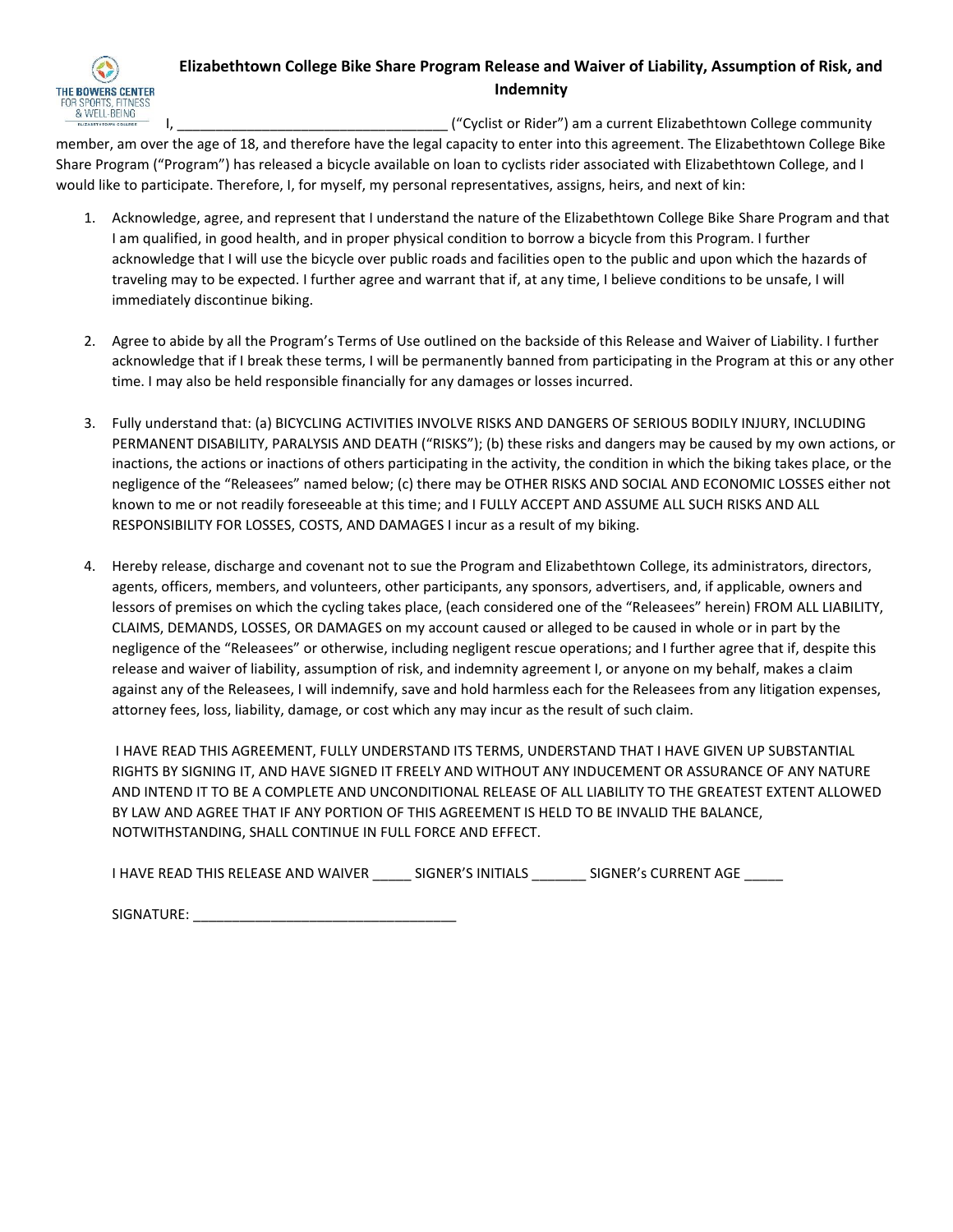

## **Elizabethtown College Bike Share Program Release and Waiver of Liability, Assumption of Risk, and Indemnity**

I, The contract of the Collist or Rider") am a current Elizabethtown College community

member, am over the age of 18, and therefore have the legal capacity to enter into this agreement. The Elizabethtown College Bike Share Program ("Program") has released a bicycle available on loan to cyclists rider associated with Elizabethtown College, and I would like to participate. Therefore, I, for myself, my personal representatives, assigns, heirs, and next of kin:

- 1. Acknowledge, agree, and represent that I understand the nature of the Elizabethtown College Bike Share Program and that I am qualified, in good health, and in proper physical condition to borrow a bicycle from this Program. I further acknowledge that I will use the bicycle over public roads and facilities open to the public and upon which the hazards of traveling may to be expected. I further agree and warrant that if, at any time, I believe conditions to be unsafe, I will immediately discontinue biking.
- 2. Agree to abide by all the Program's Terms of Use outlined on the backside of this Release and Waiver of Liability. I further acknowledge that if I break these terms, I will be permanently banned from participating in the Program at this or any other time. I may also be held responsible financially for any damages or losses incurred.
- 3. Fully understand that: (a) BICYCLING ACTIVITIES INVOLVE RISKS AND DANGERS OF SERIOUS BODILY INJURY, INCLUDING PERMANENT DISABILITY, PARALYSIS AND DEATH ("RISKS"); (b) these risks and dangers may be caused by my own actions, or inactions, the actions or inactions of others participating in the activity, the condition in which the biking takes place, or the negligence of the "Releasees" named below; (c) there may be OTHER RISKS AND SOCIAL AND ECONOMIC LOSSES either not known to me or not readily foreseeable at this time; and I FULLY ACCEPT AND ASSUME ALL SUCH RISKS AND ALL RESPONSIBILITY FOR LOSSES, COSTS, AND DAMAGES I incur as a result of my biking.
- 4. Hereby release, discharge and covenant not to sue the Program and Elizabethtown College, its administrators, directors, agents, officers, members, and volunteers, other participants, any sponsors, advertisers, and, if applicable, owners and lessors of premises on which the cycling takes place, (each considered one of the "Releasees" herein) FROM ALL LIABILITY, CLAIMS, DEMANDS, LOSSES, OR DAMAGES on my account caused or alleged to be caused in whole or in part by the negligence of the "Releasees" or otherwise, including negligent rescue operations; and I further agree that if, despite this release and waiver of liability, assumption of risk, and indemnity agreement I, or anyone on my behalf, makes a claim against any of the Releasees, I will indemnify, save and hold harmless each for the Releasees from any litigation expenses, attorney fees, loss, liability, damage, or cost which any may incur as the result of such claim.

I HAVE READ THIS AGREEMENT, FULLY UNDERSTAND ITS TERMS, UNDERSTAND THAT I HAVE GIVEN UP SUBSTANTIAL RIGHTS BY SIGNING IT, AND HAVE SIGNED IT FREELY AND WITHOUT ANY INDUCEMENT OR ASSURANCE OF ANY NATURE AND INTEND IT TO BE A COMPLETE AND UNCONDITIONAL RELEASE OF ALL LIABILITY TO THE GREATEST EXTENT ALLOWED BY LAW AND AGREE THAT IF ANY PORTION OF THIS AGREEMENT IS HELD TO BE INVALID THE BALANCE, NOTWITHSTANDING, SHALL CONTINUE IN FULL FORCE AND EFFECT.

| I HAVE READ THIS RELEASE AND WAIVER | SIGNER'S INITIALS | SIGNER's CURRENT AGE |
|-------------------------------------|-------------------|----------------------|
|                                     |                   |                      |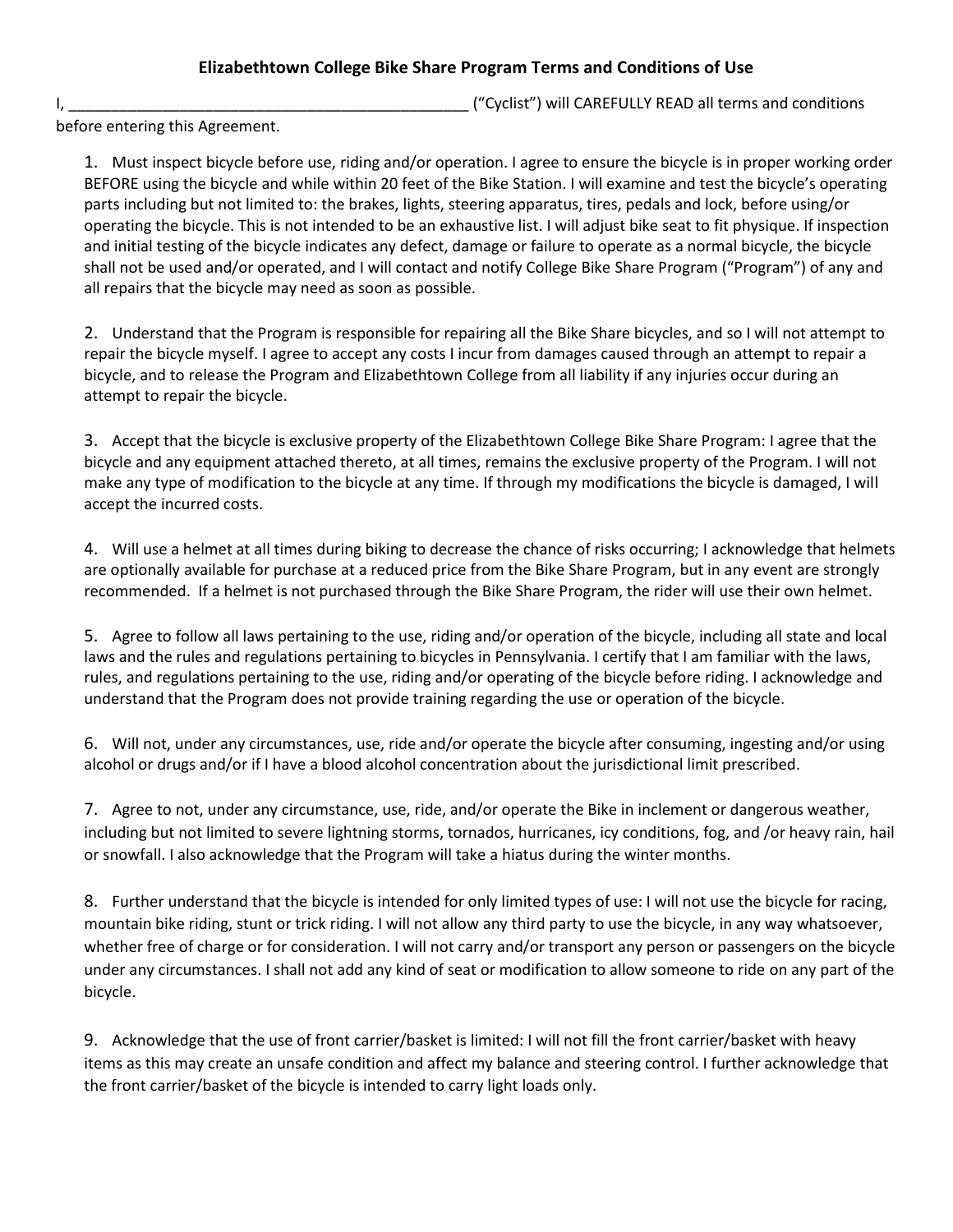## **Elizabethtown College Bike Share Program Terms and Conditions of Use**

I, \_\_\_\_\_\_\_\_\_\_\_\_\_\_\_\_\_\_\_\_\_\_\_\_\_\_\_\_\_\_\_\_\_\_\_\_\_\_\_\_\_\_\_\_\_\_\_ ("Cyclist") will CAREFULLY READ all terms and conditions

before entering this Agreement.

1. Must inspect bicycle before use, riding and/or operation. I agree to ensure the bicycle is in proper working order BEFORE using the bicycle and while within 20 feet of the Bike Station. I will examine and test the bicycle's operating parts including but not limited to: the brakes, lights, steering apparatus, tires, pedals and lock, before using/or operating the bicycle. This is not intended to be an exhaustive list. I will adjust bike seat to fit physique. If inspection and initial testing of the bicycle indicates any defect, damage or failure to operate as a normal bicycle, the bicycle shall not be used and/or operated, and I will contact and notify College Bike Share Program ("Program") of any and all repairs that the bicycle may need as soon as possible.

2. Understand that the Program is responsible for repairing all the Bike Share bicycles, and so I will not attempt to repair the bicycle myself. I agree to accept any costs I incur from damages caused through an attempt to repair a bicycle, and to release the Program and Elizabethtown College from all liability if any injuries occur during an attempt to repair the bicycle.

3. Accept that the bicycle is exclusive property of the Elizabethtown College Bike Share Program: I agree that the bicycle and any equipment attached thereto, at all times, remains the exclusive property of the Program. I will not make any type of modification to the bicycle at any time. If through my modifications the bicycle is damaged, I will accept the incurred costs.

4. Will use a helmet at all times during biking to decrease the chance of risks occurring; I acknowledge that helmets are optionally available for purchase at a reduced price from the Bike Share Program, but in any event are strongly recommended. If a helmet is not purchased through the Bike Share Program, the rider will use their own helmet.

5. Agree to follow all laws pertaining to the use, riding and/or operation of the bicycle, including all state and local laws and the rules and regulations pertaining to bicycles in Pennsylvania. I certify that I am familiar with the laws, rules, and regulations pertaining to the use, riding and/or operating of the bicycle before riding. I acknowledge and understand that the Program does not provide training regarding the use or operation of the bicycle.

6. Will not, under any circumstances, use, ride and/or operate the bicycle after consuming, ingesting and/or using alcohol or drugs and/or if I have a blood alcohol concentration about the jurisdictional limit prescribed.

7. Agree to not, under any circumstance, use, ride, and/or operate the Bike in inclement or dangerous weather, including but not limited to severe lightning storms, tornados, hurricanes, icy conditions, fog, and /or heavy rain, hail or snowfall. I also acknowledge that the Program will take a hiatus during the winter months.

8. Further understand that the bicycle is intended for only limited types of use: I will not use the bicycle for racing, mountain bike riding, stunt or trick riding. I will not allow any third party to use the bicycle, in any way whatsoever, whether free of charge or for consideration. I will not carry and/or transport any person or passengers on the bicycle under any circumstances. I shall not add any kind of seat or modification to allow someone to ride on any part of the bicycle.

9. Acknowledge that the use of front carrier/basket is limited: I will not fill the front carrier/basket with heavy items as this may create an unsafe condition and affect my balance and steering control. I further acknowledge that the front carrier/basket of the bicycle is intended to carry light loads only.